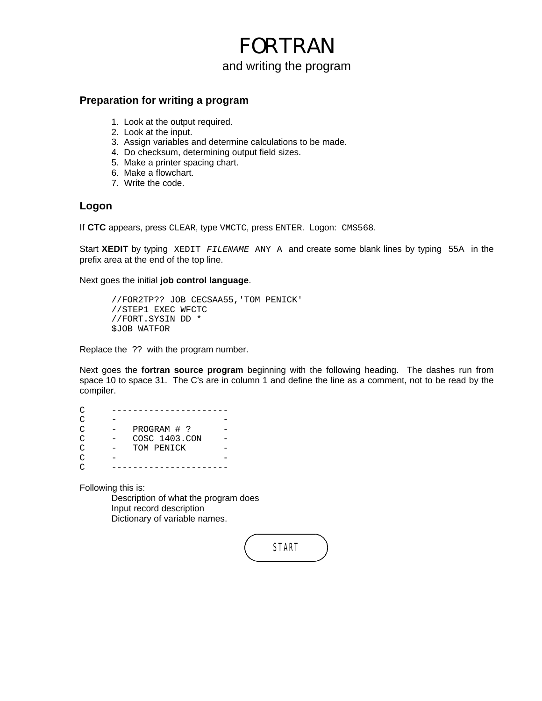## FORTRAN and writing the program

#### **Preparation for writing a program**

- 1. Look at the output required.
- 2. Look at the input.
- 3. Assign variables and determine calculations to be made.
- 4. Do checksum, determining output field sizes.
- 5. Make a printer spacing chart.
- 6. Make a flowchart.
- 7. Write the code.

#### **Logon**

If **CTC** appears, press CLEAR, type VMCTC, press ENTER. Logon: CMS568.

Start **XEDIT** by typing XEDIT *FILENAME* ANY A and create some blank lines by typing 55A in the prefix area at the end of the top line.

Next goes the initial **job control language**.

//FOR2TP?? JOB CECSAA55,'TOM PENICK' //STEP1 EXEC WFCTC //FORT.SYSIN DD \* \$JOB WATFOR

Replace the ?? with the program number.

Next goes the **fortran source program** beginning with the following heading. The dashes run from space 10 to space 31. The C's are in column 1 and define the line as a comment, not to be read by the compiler.

C ---------------------- $C$  -  $-$ C - PROGRAM # ? -C - COSC 1403.CON - C - TOM PENICK - $C$  -  $-$ C ----------------------

Following this is:

Description of what the program does Input record description Dictionary of variable names.

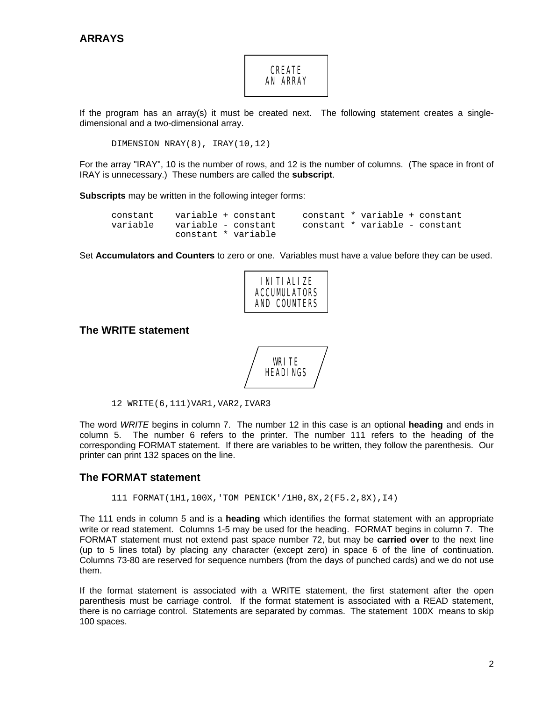### **CREATE** AN ARRAY

If the program has an array(s) it must be created next. The following statement creates a singledimensional and a two-dimensional array.

DIMENSION NRAY(8), IRAY(10,12)

For the array "IRAY", 10 is the number of rows, and 12 is the number of columns. (The space in front of IRAY is unnecessary.) These numbers are called the **subscript**.

**Subscripts** may be written in the following integer forms:

| constant variable + constant |                     |  | constant * variable + constant |  |
|------------------------------|---------------------|--|--------------------------------|--|
| variable variable – constant |                     |  | constant * variable - constant |  |
|                              | constant * variable |  |                                |  |

Set **Accumulators and Counters** to zero or one. Variables must have a value before they can be used.



#### **The WRITE statement**



12 WRITE(6,111)VAR1,VAR2,IVAR3

The word *WRITE* begins in column 7. The number 12 in this case is an optional **heading** and ends in column 5. The number 6 refers to the printer. The number 111 refers to the heading of the corresponding FORMAT statement. If there are variables to be written, they follow the parenthesis. Our printer can print 132 spaces on the line.

#### **The FORMAT statement**

111 FORMAT(1H1,100X,'TOM PENICK'/1H0,8X,2(F5.2,8X),I4)

The 111 ends in column 5 and is a **heading** which identifies the format statement with an appropriate write or read statement. Columns 1-5 may be used for the heading. FORMAT begins in column 7. The FORMAT statement must not extend past space number 72, but may be **carried over** to the next line (up to 5 lines total) by placing any character (except zero) in space 6 of the line of continuation. Columns 73-80 are reserved for sequence numbers (from the days of punched cards) and we do not use them.

If the format statement is associated with a WRITE statement, the first statement after the open parenthesis must be carriage control. If the format statement is associated with a READ statement, there is no carriage control. Statements are separated by commas. The statement 100X means to skip 100 spaces.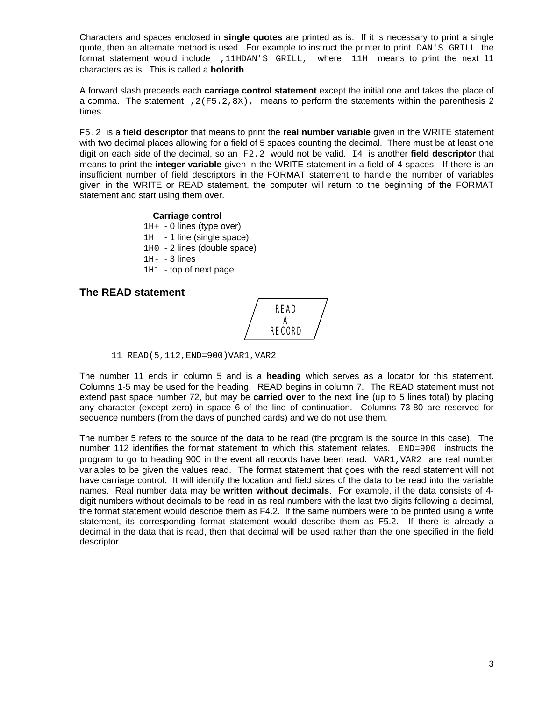Characters and spaces enclosed in **single quotes** are printed as is. If it is necessary to print a single quote, then an alternate method is used. For example to instruct the printer to print DAN'S GRILL the format statement would include ,11HDAN'S GRILL, where 11H means to print the next 11 characters as is. This is called a **holorith**.

A forward slash preceeds each **carriage control statement** except the initial one and takes the place of a comma. The statement ,  $2(F5.2, 8X)$ , means to perform the statements within the parenthesis 2 times.

F5.2 is a **field descriptor** that means to print the **real number variable** given in the WRITE statement with two decimal places allowing for a field of 5 spaces counting the decimal. There must be at least one digit on each side of the decimal, so an F2.2 would not be valid. I4 is another **field descriptor** that means to print the **integer variable** given in the WRITE statement in a field of 4 spaces. If there is an insufficient number of field descriptors in the FORMAT statement to handle the number of variables given in the WRITE or READ statement, the computer will return to the beginning of the FORMAT statement and start using them over.

#### **Carriage control**

- $1H+ 0$  lines (type over)
- 1H 1 line (single space)
- 1H0 2 lines (double space)
- 1H- 3 lines
- 1H1 top of next page

#### **The READ statement**

READ A RECORD

11 READ(5,112,END=900)VAR1,VAR2

The number 11 ends in column 5 and is a **heading** which serves as a locator for this statement. Columns 1-5 may be used for the heading. READ begins in column 7. The READ statement must not extend past space number 72, but may be **carried over** to the next line (up to 5 lines total) by placing any character (except zero) in space 6 of the line of continuation. Columns 73-80 are reserved for sequence numbers (from the days of punched cards) and we do not use them.

The number 5 refers to the source of the data to be read (the program is the source in this case). The number 112 identifies the format statement to which this statement relates. END=900 instructs the program to go to heading 900 in the event all records have been read. VAR1,VAR2 are real number variables to be given the values read. The format statement that goes with the read statement will not have carriage control. It will identify the location and field sizes of the data to be read into the variable names. Real number data may be **written without decimals**. For example, if the data consists of 4 digit numbers without decimals to be read in as real numbers with the last two digits following a decimal, the format statement would describe them as F4.2. If the same numbers were to be printed using a write statement, its corresponding format statement would describe them as F5.2. If there is already a decimal in the data that is read, then that decimal will be used rather than the one specified in the field descriptor.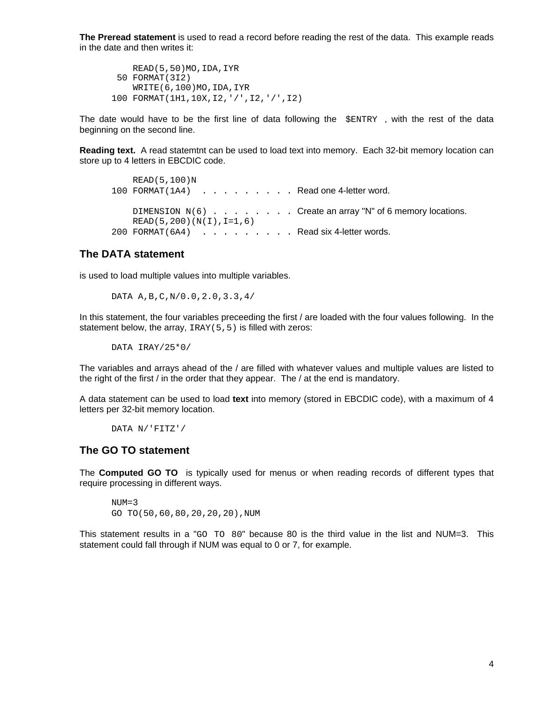**The Preread statement** is used to read a record before reading the rest of the data. This example reads in the date and then writes it:

 READ(5,50)MO,IDA,IYR 50 FORMAT(3I2) WRITE(6,100)MO,IDA,IYR 100 FORMAT(1H1,10X,I2,'/',I2,'/',I2)

The date would have to be the first line of data following the  $\epsilon$  ENTRY, with the rest of the data beginning on the second line.

**Reading text.** A read statemtnt can be used to load text into memory. Each 32-bit memory location can store up to 4 letters in EBCDIC code.

 READ(5,100)N 100 FORMAT(1A4) . . . . . . . . Read one 4-letter word. DIMENSION  $N(6)$  . . . . . . . Create an array "N" of 6 memory locations.  $READ(5,200)(N(I),I=1,6)$ 200 FORMAT (6A4) . . . . . . . . . Read six 4-letter words.

#### **The DATA statement**

is used to load multiple values into multiple variables.

DATA A,B,C,N/0.0,2.0,3.3,4/

In this statement, the four variables preceeding the first / are loaded with the four values following. In the statement below, the array, IRAY(5,5) is filled with zeros:

DATA IRAY/25\*0/

The variables and arrays ahead of the / are filled with whatever values and multiple values are listed to the right of the first  $/$  in the order that they appear. The  $/$  at the end is mandatory.

A data statement can be used to load **text** into memory (stored in EBCDIC code), with a maximum of 4 letters per 32-bit memory location.

DATA N/'FITZ'/

#### **The GO TO statement**

The **Computed GO TO** is typically used for menus or when reading records of different types that require processing in different ways.

 $NUM=3$ GO TO(50,60,80,20,20,20),NUM

This statement results in a "GO TO 80" because 80 is the third value in the list and NUM=3. This statement could fall through if NUM was equal to 0 or 7, for example.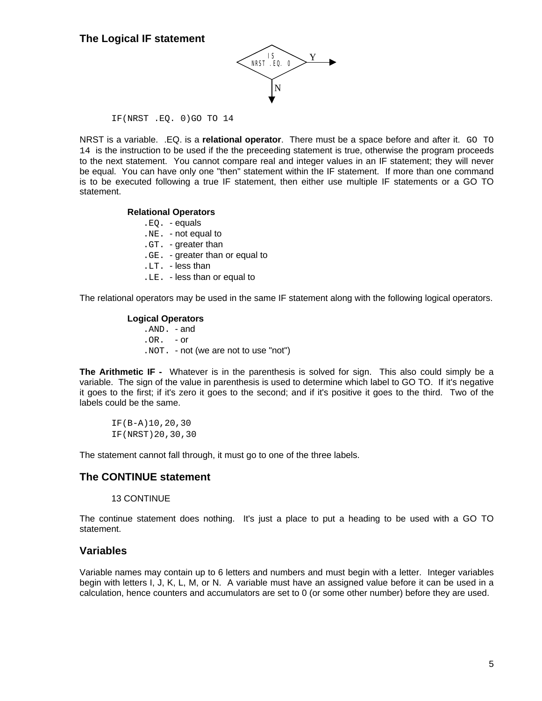

#### IF(NRST .EQ. 0)GO TO 14

NRST is a variable. .EQ. is a **relational operator**. There must be a space before and after it. GO TO 14 is the instruction to be used if the the preceeding statement is true, otherwise the program proceeds to the next statement. You cannot compare real and integer values in an IF statement; they will never be equal. You can have only one "then" statement within the IF statement. If more than one command is to be executed following a true IF statement, then either use multiple IF statements or a GO TO statement.

#### **Relational Operators**

- .EQ. equals
- .NE. not equal to
- .GT. greater than
- .GE. greater than or equal to
- .LT. less than
- .LE. less than or equal to

The relational operators may be used in the same IF statement along with the following logical operators.

#### **Logical Operators**

.AND. - and  $OR - or$ .NOT. - not (we are not to use "not")

**The Arithmetic IF -** Whatever is in the parenthesis is solved for sign. This also could simply be a variable. The sign of the value in parenthesis is used to determine which label to GO TO. If it's negative it goes to the first; if it's zero it goes to the second; and if it's positive it goes to the third. Two of the labels could be the same.

IF(B-A)10,20,30 IF(NRST)20,30,30

The statement cannot fall through, it must go to one of the three labels.

#### **The CONTINUE statement**

#### 13 CONTINUE

The continue statement does nothing. It's just a place to put a heading to be used with a GO TO statement.

#### **Variables**

Variable names may contain up to 6 letters and numbers and must begin with a letter. Integer variables begin with letters I, J, K, L, M, or N. A variable must have an assigned value before it can be used in a calculation, hence counters and accumulators are set to 0 (or some other number) before they are used.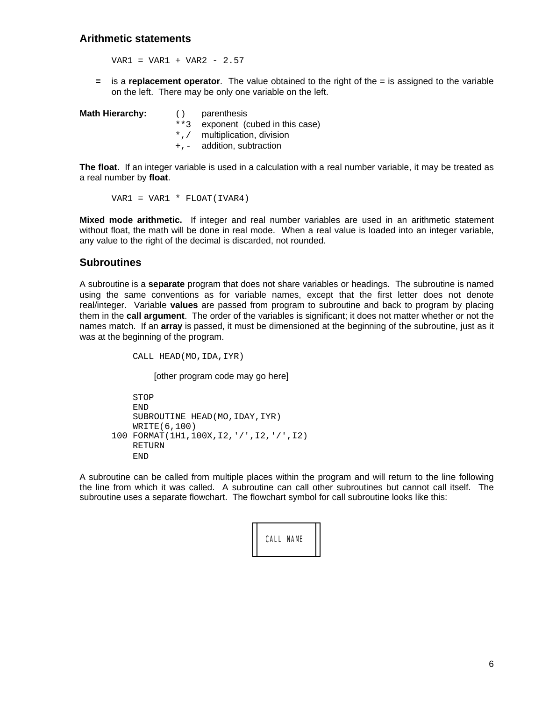#### **Arithmetic statements**

 $VAR1 = VAR1 + VAR2 - 2.57$ 

**=** is a **replacement operator**. The value obtained to the right of the = is assigned to the variable on the left. There may be only one variable on the left.

| <b>Math Hierarchy:</b> | ( ) | parenthesis                        |
|------------------------|-----|------------------------------------|
|                        |     | **3 exponent (cubed in this case)  |
|                        |     | $*, \, /$ multiplication, division |
|                        |     | $+$ , $-$ addition, subtraction    |

**The float.** If an integer variable is used in a calculation with a real number variable, it may be treated as a real number by **float**.

VAR1 = VAR1 \* FLOAT(IVAR4)

**Mixed mode arithmetic.** If integer and real number variables are used in an arithmetic statement without float, the math will be done in real mode. When a real value is loaded into an integer variable, any value to the right of the decimal is discarded, not rounded.

#### **Subroutines**

A subroutine is a **separate** program that does not share variables or headings. The subroutine is named using the same conventions as for variable names, except that the first letter does not denote real/integer. Variable **values** are passed from program to subroutine and back to program by placing them in the **call argument**. The order of the variables is significant; it does not matter whether or not the names match. If an **array** is passed, it must be dimensioned at the beginning of the subroutine, just as it was at the beginning of the program.

CALL HEAD(MO,IDA,IYR)

[other program code may go here]

 STOP END SUBROUTINE HEAD(MO, IDAY, IYR) WRITE(6,100) 100 FORMAT(1H1,100X,I2,'/',I2,'/',I2) RETURN END

A subroutine can be called from multiple places within the program and will return to the line following the line from which it was called. A subroutine can call other subroutines but cannot call itself. The subroutine uses a separate flowchart. The flowchart symbol for call subroutine looks like this:

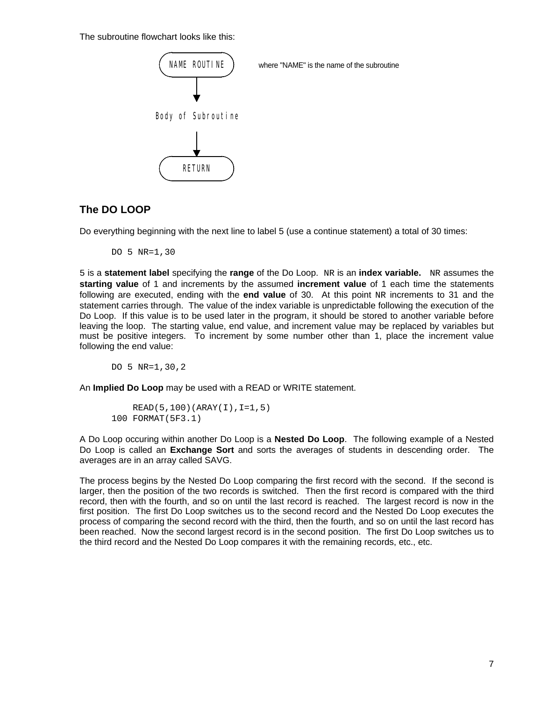The subroutine flowchart looks like this:



#### **The DO LOOP**

Do everything beginning with the next line to label 5 (use a continue statement) a total of 30 times:

DO 5 NR=1,30

5 is a **statement label** specifying the **range** of the Do Loop. NR is an **index variable.** NR assumes the **starting value** of 1 and increments by the assumed **increment value** of 1 each time the statements following are executed, ending with the **end value** of 30. At this point NR increments to 31 and the statement carries through. The value of the index variable is unpredictable following the execution of the Do Loop. If this value is to be used later in the program, it should be stored to another variable before leaving the loop. The starting value, end value, and increment value may be replaced by variables but must be positive integers. To increment by some number other than 1, place the increment value following the end value:

DO 5 NR=1,30,2

An **Implied Do Loop** may be used with a READ or WRITE statement.

```
 READ(5,100)(ARAY(I),I=1,5)
100 FORMAT(5F3.1)
```
A Do Loop occuring within another Do Loop is a **Nested Do Loop**. The following example of a Nested Do Loop is called an **Exchange Sort** and sorts the averages of students in descending order. The averages are in an array called SAVG.

The process begins by the Nested Do Loop comparing the first record with the second. If the second is larger, then the position of the two records is switched. Then the first record is compared with the third record, then with the fourth, and so on until the last record is reached. The largest record is now in the first position. The first Do Loop switches us to the second record and the Nested Do Loop executes the process of comparing the second record with the third, then the fourth, and so on until the last record has been reached. Now the second largest record is in the second position. The first Do Loop switches us to the third record and the Nested Do Loop compares it with the remaining records, etc., etc.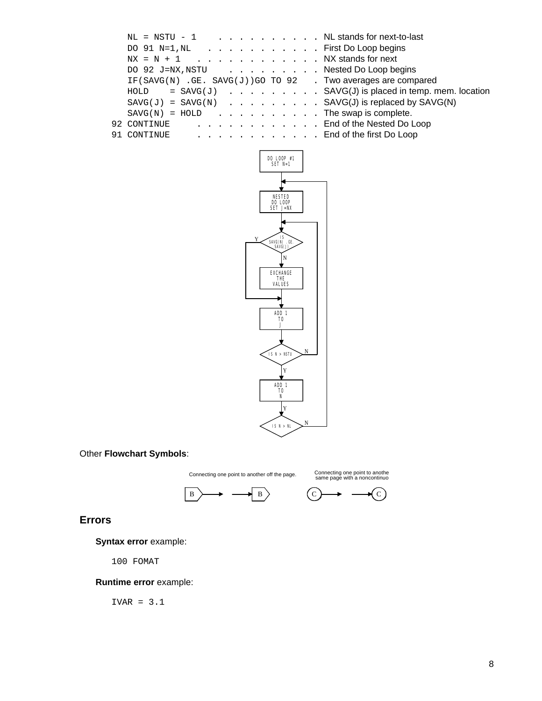| $NL = NSTU - 1$ NL stands for next-to-last                    |  |  |
|---------------------------------------------------------------|--|--|
| DO 91 $N=1$ , $NL$ First Do Loop begins                       |  |  |
| $NX = N + 1$ NX stands for next                               |  |  |
| DO 92 J=NX, NSTU Nested Do Loop begins                        |  |  |
| IF(SAVG(N) $GE.$ SAVG(J))GO TO 92 . Two averages are compared |  |  |
| $HOLD = SAVG(J)$ SAVG(J) is placed in temp. mem. location     |  |  |
| $SAVG(J) = SAVG(N)$ SAVG(J) is replaced by SAVG(N)            |  |  |
| $SAVG(N) = HOLD$ The swap is complete.                        |  |  |
| 92 CONTINUE End of the Nested Do Loop                         |  |  |
| 91 CONTINUE End of the first Do Loop                          |  |  |
|                                                               |  |  |



#### Other **Flowchart Symbols**:

Connecting one point to another off the page. Connecting one point to anothe<br>same page with a noncontinuo





#### **Errors**

**Syntax error** example:

100 FOMAT

#### **Runtime error** example:

IVAR = 3.1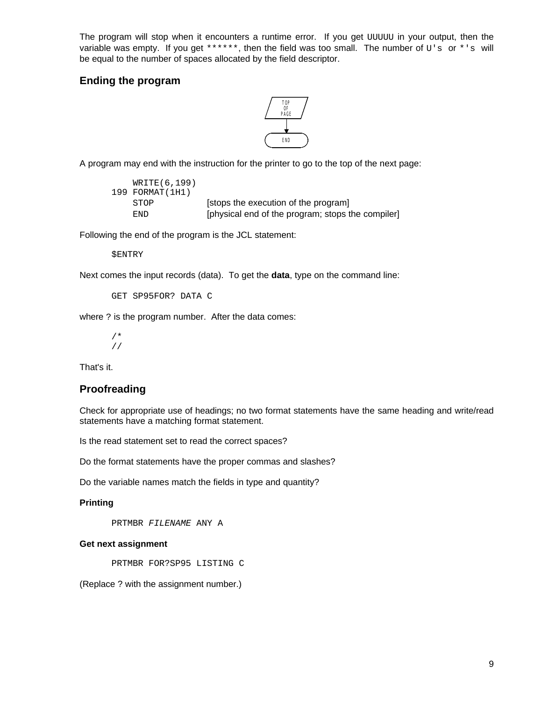The program will stop when it encounters a runtime error. If you get UUUUU in your output, then the variable was empty. If you get \*\*\*\*\*\*, then the field was too small. The number of  $U's$  or \*'s will be equal to the number of spaces allocated by the field descriptor.

#### **Ending the program**



A program may end with the instruction for the printer to go to the top of the next page:

| WRITE (6,199)   |                                                   |
|-----------------|---------------------------------------------------|
| 199 FORMAT(1H1) |                                                   |
| STOP            | [stops the execution of the program]              |
| END.            | [physical end of the program; stops the compiler] |

Following the end of the program is the JCL statement:

```
$ENTRY
```
Next comes the input records (data). To get the **data**, type on the command line:

```
GET SP95FOR? DATA C
```
where ? is the program number. After the data comes:

/\* //

That's it.

#### **Proofreading**

Check for appropriate use of headings; no two format statements have the same heading and write/read statements have a matching format statement.

Is the read statement set to read the correct spaces?

Do the format statements have the proper commas and slashes?

Do the variable names match the fields in type and quantity?

#### **Printing**

PRTMBR *FILENAME* ANY A

#### **Get next assignment**

PRTMBR FOR?SP95 LISTING C

(Replace ? with the assignment number.)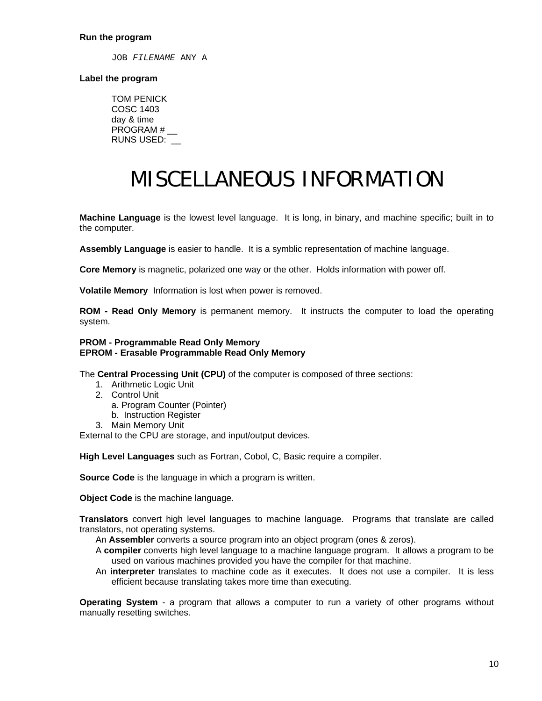JOB *FILENAME* ANY A

#### **Label the program**

TOM PENICK COSC 1403 day & time PROGRAM # RUNS USED: \_\_

# MISCELLANEOUS INFORMATION

**Machine Language** is the lowest level language. It is long, in binary, and machine specific; built in to the computer.

**Assembly Language** is easier to handle. It is a symblic representation of machine language.

**Core Memory** is magnetic, polarized one way or the other. Holds information with power off.

**Volatile Memory** Information is lost when power is removed.

**ROM - Read Only Memory** is permanent memory. It instructs the computer to load the operating system.

#### **PROM - Programmable Read Only Memory EPROM - Erasable Programmable Read Only Memory**

The **Central Processing Unit (CPU)** of the computer is composed of three sections:

- 1. Arithmetic Logic Unit
- 2. Control Unit
	- a. Program Counter (Pointer)
	- b. Instruction Register
- 3. Main Memory Unit

External to the CPU are storage, and input/output devices.

**High Level Languages** such as Fortran, Cobol, C, Basic require a compiler.

**Source Code** is the language in which a program is written.

**Object Code** is the machine language.

**Translators** convert high level languages to machine language. Programs that translate are called translators, not operating systems.

An **Assembler** converts a source program into an object program (ones & zeros).

- A **compiler** converts high level language to a machine language program. It allows a program to be used on various machines provided you have the compiler for that machine.
- An **interpreter** translates to machine code as it executes. It does not use a compiler. It is less efficient because translating takes more time than executing.

**Operating System** - a program that allows a computer to run a variety of other programs without manually resetting switches.